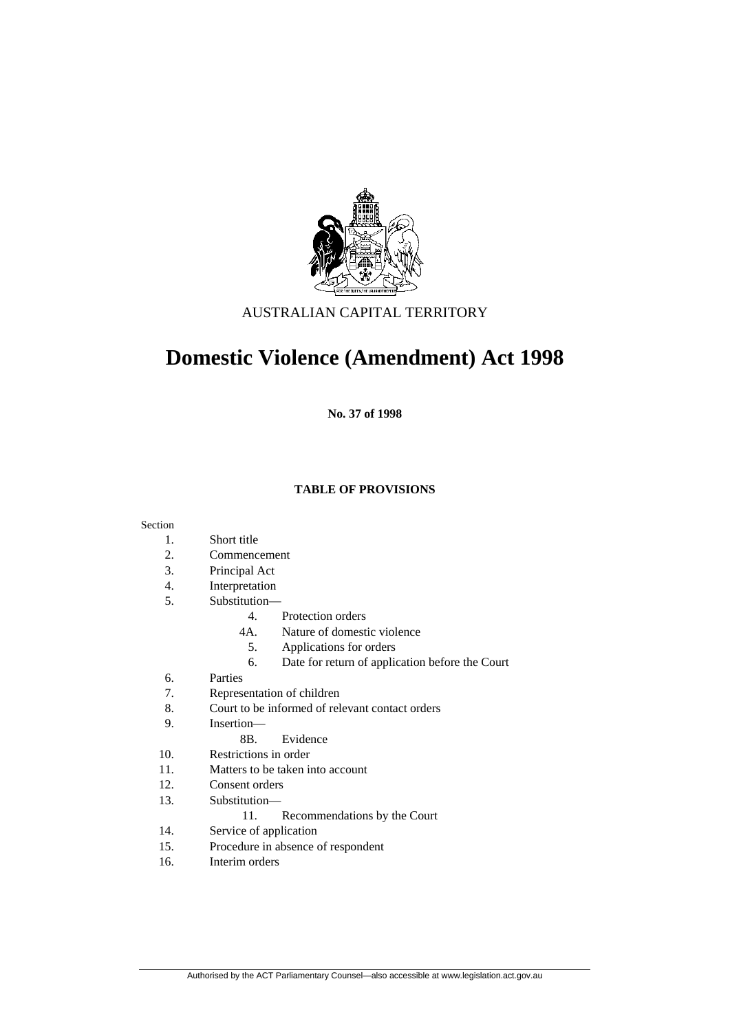

## AUSTRALIAN CAPITAL TERRITORY

# **Domestic Violence (Amendment) Act 1998**

**No. 37 of 1998** 

#### **TABLE OF PROVISIONS**

#### Section

- 1. Short title
- 2. Commencement
- 3. Principal Act
- 4. Interpretation
- 5. Substitution—
	- 4. Protection orders
	- 4A. Nature of domestic violence
		- 5. Applications for orders
	- 6. Date for return of application before the Court
- 6. Parties
- 7. Representation of children
- 8. Court to be informed of relevant contact orders
- 9. Insertion—
	- 8B. Evidence
- 10. Restrictions in order
- 11. Matters to be taken into account
- 12. Consent orders
- 13. Substitution—
	- 11. Recommendations by the Court
- 14. Service of application
- 15. Procedure in absence of respondent
- 16. Interim orders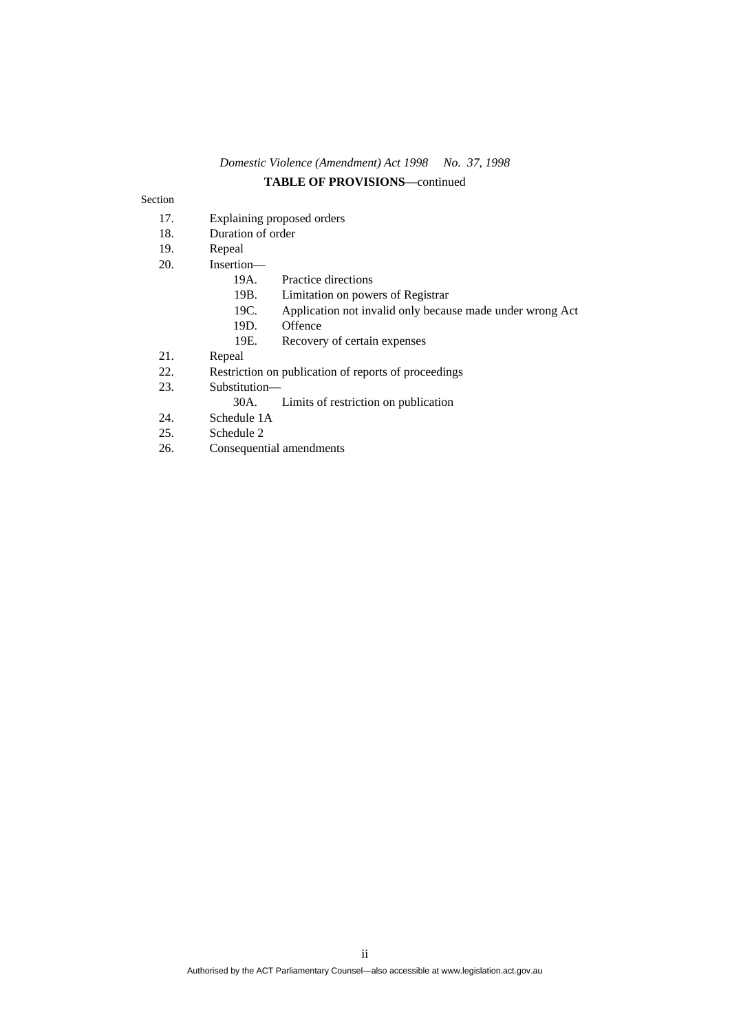## *Domestic Violence (Amendment) Act 1998 No. 37, 1998*  **TABLE OF PROVISIONS**—continued

#### Section

- 17. Explaining proposed orders
- 18. Duration of order
- 19. Repeal
- 20. Insertion—
	- 19A. Practice directions
	- 19B. Limitation on powers of Registrar
	- 19C. Application not invalid only because made under wrong Act
	- 19D. Offence
- 19E. Recovery of certain expenses<br>21. Repeal
- Repeal
- 22. Restriction on publication of reports of proceedings
- 23. Substitution—
	- 30A. Limits of restriction on publication
- 24. Schedule 1A
- 25. Schedule 2
- 26. Consequential amendments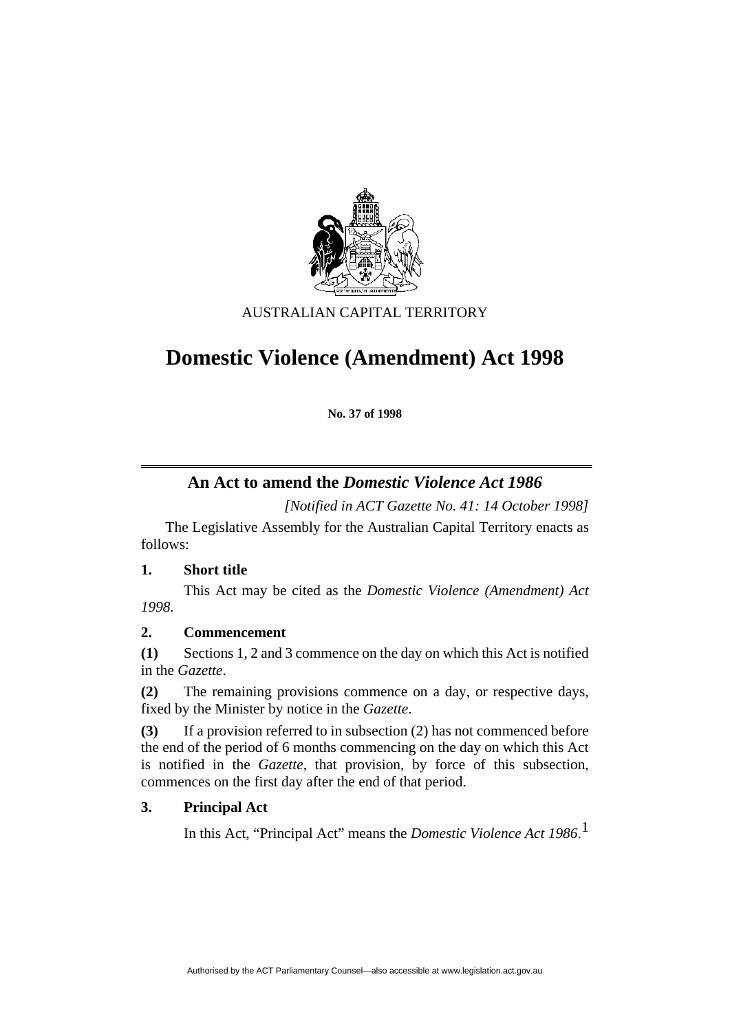

## AUSTRALIAN CAPITAL TERRITORY

# **Domestic Violence (Amendment) Act 1998**

**No. 37 of 1998** 

## **An Act to amend the** *Domestic Violence Act 1986*

*[Notified in ACT Gazette No. 41: 14 October 1998]*

 The Legislative Assembly for the Australian Capital Territory enacts as follows:

## **1. Short title**

 This Act may be cited as the *Domestic Violence (Amendment) Act 1998.*

## **2. Commencement**

**(1)** Sections 1, 2 and 3 commence on the day on which this Act is notified in the *Gazette*.

**(2)** The remaining provisions commence on a day, or respective days, fixed by the Minister by notice in the *Gazette*.

**(3)** If a provision referred to in subsection (2) has not commenced before the end of the period of 6 months commencing on the day on which this Act is notified in the *Gazette*, that provision, by force of this subsection, commences on the first day after the end of that period.

## **3. Principal Act**

In this Act, "Principal Act" means the *Domestic Violence Act 1986*. 1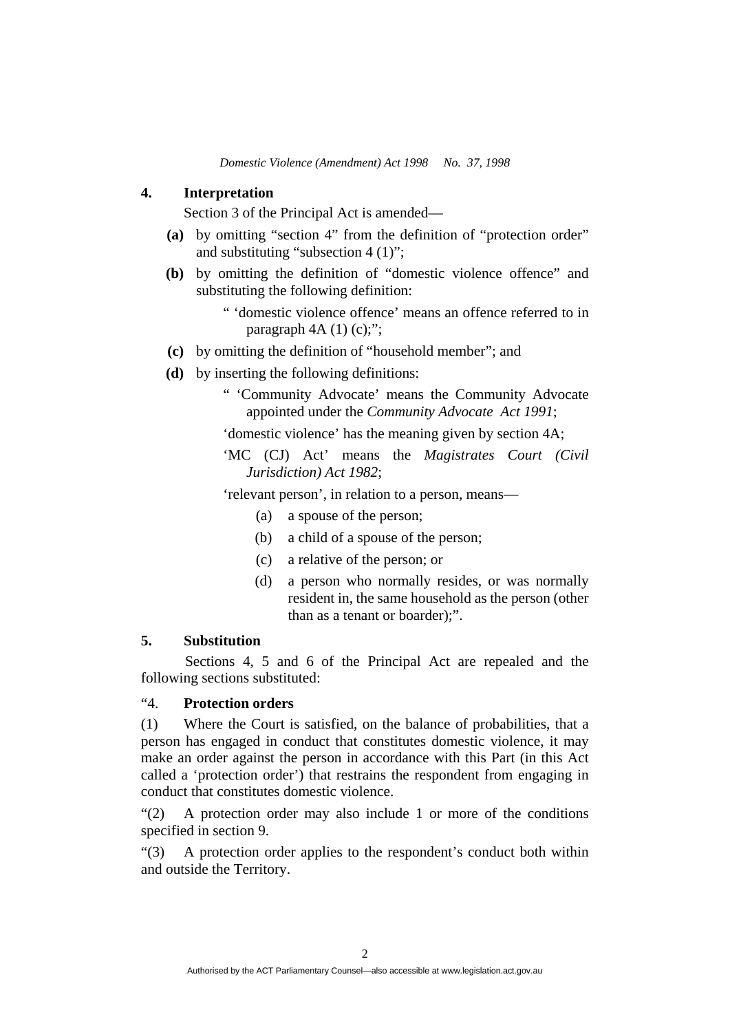#### **4. Interpretation**

Section 3 of the Principal Act is amended—

- **(a)** by omitting "section 4" from the definition of "protection order" and substituting "subsection 4 (1)";
- **(b)** by omitting the definition of "domestic violence offence" and substituting the following definition:
	- " 'domestic violence offence' means an offence referred to in paragraph  $4A(1)(c)$ ;";
- **(c)** by omitting the definition of "household member"; and
- **(d)** by inserting the following definitions:
	- " 'Community Advocate' means the Community Advocate appointed under the *Community Advocate Act 1991*;

'domestic violence' has the meaning given by section 4A;

'MC (CJ) Act' means the *Magistrates Court (Civil Jurisdiction) Act 1982*;

'relevant person', in relation to a person, means—

- (a) a spouse of the person;
- (b) a child of a spouse of the person;
- (c) a relative of the person; or
- (d) a person who normally resides, or was normally resident in, the same household as the person (other than as a tenant or boarder);".

## **5. Substitution**

 Sections 4, 5 and 6 of the Principal Act are repealed and the following sections substituted:

## "4. **Protection orders**

(1) Where the Court is satisfied, on the balance of probabilities, that a person has engaged in conduct that constitutes domestic violence, it may make an order against the person in accordance with this Part (in this Act called a 'protection order') that restrains the respondent from engaging in conduct that constitutes domestic violence.

"(2) A protection order may also include 1 or more of the conditions specified in section 9.

"(3) A protection order applies to the respondent's conduct both within and outside the Territory.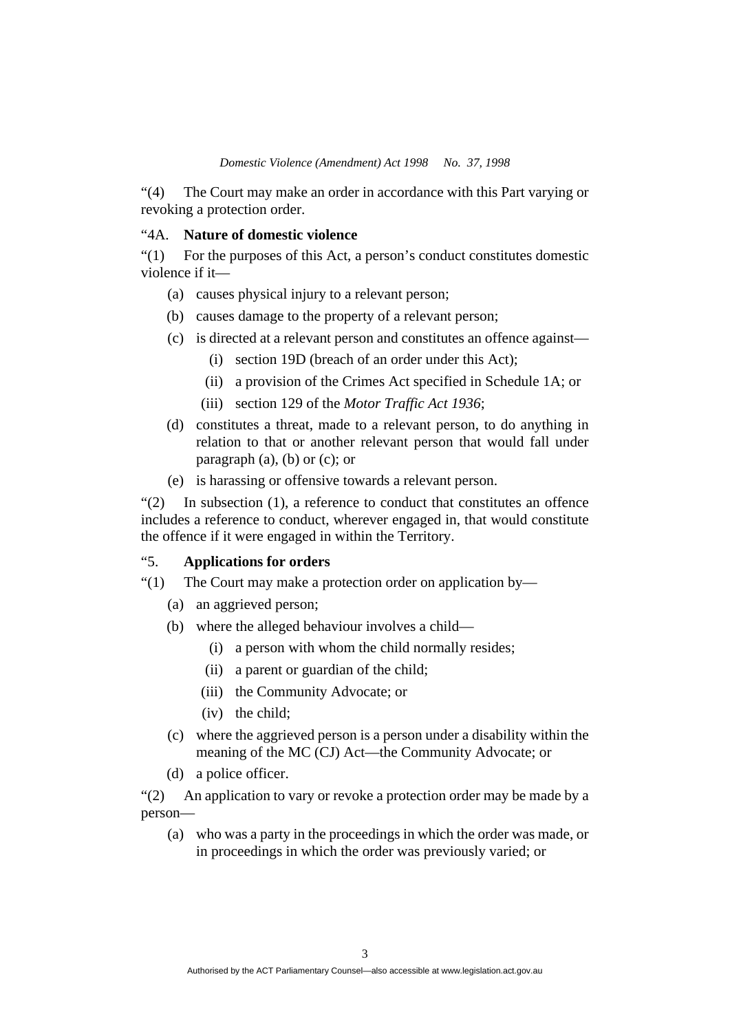"(4) The Court may make an order in accordance with this Part varying or revoking a protection order.

## "4A. **Nature of domestic violence**

"(1) For the purposes of this Act, a person's conduct constitutes domestic violence if it—

- (a) causes physical injury to a relevant person;
- (b) causes damage to the property of a relevant person;
- (c) is directed at a relevant person and constitutes an offence against—
	- (i) section 19D (breach of an order under this Act);
	- (ii) a provision of the Crimes Act specified in Schedule 1A; or
	- (iii) section 129 of the *Motor Traffic Act 1936*;
- (d) constitutes a threat, made to a relevant person, to do anything in relation to that or another relevant person that would fall under paragraph  $(a)$ ,  $(b)$  or  $(c)$ ; or
- (e) is harassing or offensive towards a relevant person.

"(2) In subsection (1), a reference to conduct that constitutes an offence includes a reference to conduct, wherever engaged in, that would constitute the offence if it were engaged in within the Territory.

## "5. **Applications for orders**

- "(1) The Court may make a protection order on application by—
	- (a) an aggrieved person;
	- (b) where the alleged behaviour involves a child—
		- (i) a person with whom the child normally resides;
		- (ii) a parent or guardian of the child;
		- (iii) the Community Advocate; or
		- (iv) the child;
	- (c) where the aggrieved person is a person under a disability within the meaning of the MC (CJ) Act—the Community Advocate; or
	- (d) a police officer.

"(2) An application to vary or revoke a protection order may be made by a person—

 (a) who was a party in the proceedings in which the order was made, or in proceedings in which the order was previously varied; or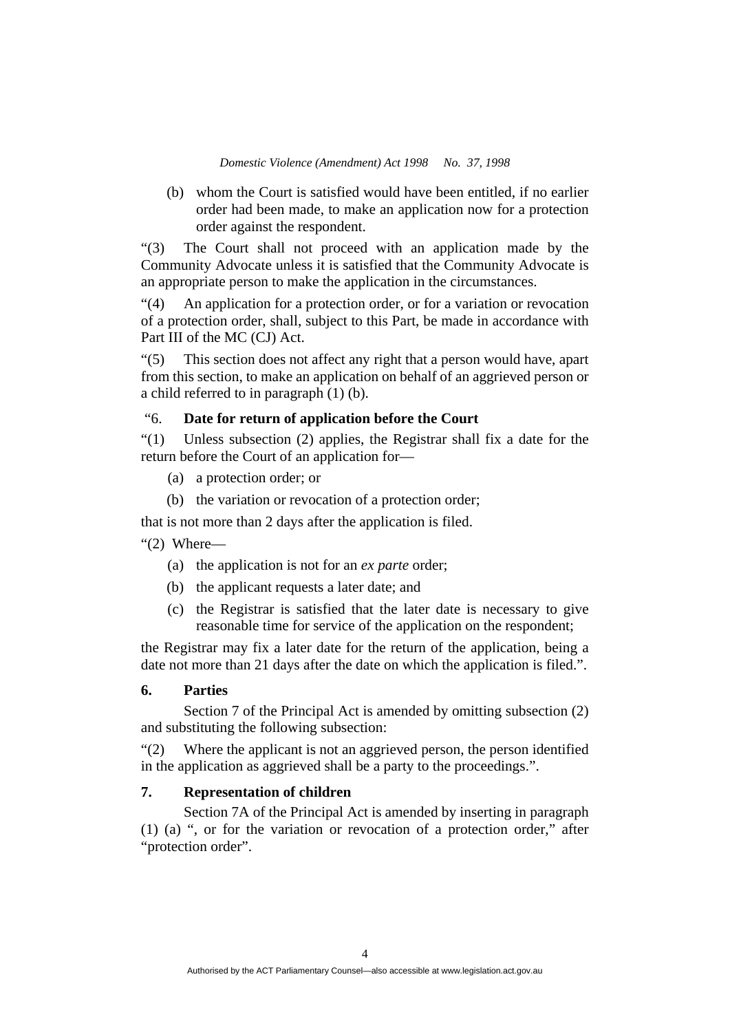(b) whom the Court is satisfied would have been entitled, if no earlier order had been made, to make an application now for a protection order against the respondent.

"(3) The Court shall not proceed with an application made by the Community Advocate unless it is satisfied that the Community Advocate is an appropriate person to make the application in the circumstances.

"(4) An application for a protection order, or for a variation or revocation of a protection order, shall, subject to this Part, be made in accordance with Part III of the MC (CJ) Act.

"(5) This section does not affect any right that a person would have, apart from this section, to make an application on behalf of an aggrieved person or a child referred to in paragraph (1) (b).

## "6. **Date for return of application before the Court**

"(1) Unless subsection (2) applies, the Registrar shall fix a date for the return before the Court of an application for—

- (a) a protection order; or
- (b) the variation or revocation of a protection order;

that is not more than 2 days after the application is filed.

"(2) Where—

- (a) the application is not for an *ex parte* order;
- (b) the applicant requests a later date; and
- (c) the Registrar is satisfied that the later date is necessary to give reasonable time for service of the application on the respondent;

the Registrar may fix a later date for the return of the application, being a date not more than 21 days after the date on which the application is filed.".

#### **6. Parties**

 Section 7 of the Principal Act is amended by omitting subsection (2) and substituting the following subsection:

"(2) Where the applicant is not an aggrieved person, the person identified in the application as aggrieved shall be a party to the proceedings.".

#### **7. Representation of children**

 Section 7A of the Principal Act is amended by inserting in paragraph (1) (a) ", or for the variation or revocation of a protection order," after "protection order".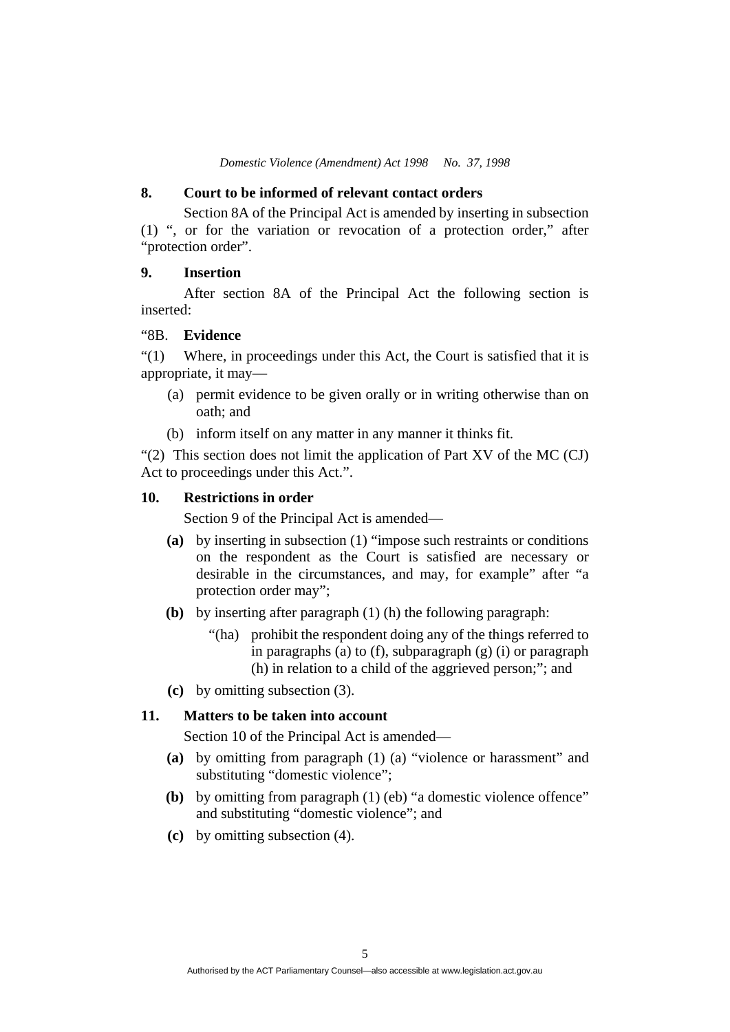#### **8. Court to be informed of relevant contact orders**

 Section 8A of the Principal Act is amended by inserting in subsection (1) ", or for the variation or revocation of a protection order," after "protection order".

## **9. Insertion**

 After section 8A of the Principal Act the following section is inserted:

### "8B. **Evidence**

"(1) Where, in proceedings under this Act, the Court is satisfied that it is appropriate, it may—

- (a) permit evidence to be given orally or in writing otherwise than on oath; and
- (b) inform itself on any matter in any manner it thinks fit.

"(2) This section does not limit the application of Part XV of the MC (CJ) Act to proceedings under this Act.".

#### **10. Restrictions in order**

Section 9 of the Principal Act is amended—

- **(a)** by inserting in subsection (1) "impose such restraints or conditions on the respondent as the Court is satisfied are necessary or desirable in the circumstances, and may, for example" after "a protection order may";
- **(b)** by inserting after paragraph (1) (h) the following paragraph:
	- "(ha) prohibit the respondent doing any of the things referred to in paragraphs (a) to (f), subparagraph (g) (i) or paragraph (h) in relation to a child of the aggrieved person;"; and
- **(c)** by omitting subsection (3).

#### **11. Matters to be taken into account**

Section 10 of the Principal Act is amended—

- **(a)** by omitting from paragraph (1) (a) "violence or harassment" and substituting "domestic violence";
- **(b)** by omitting from paragraph (1) (eb) "a domestic violence offence" and substituting "domestic violence"; and
- **(c)** by omitting subsection (4).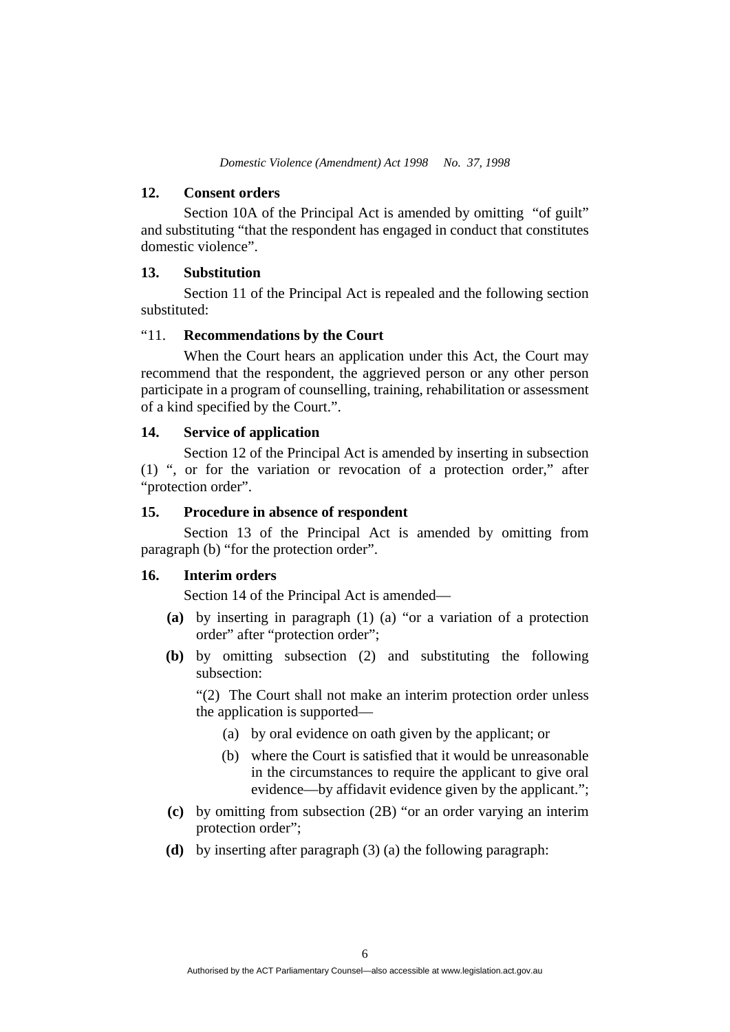#### **12. Consent orders**

Section 10A of the Principal Act is amended by omitting "of guilt" and substituting "that the respondent has engaged in conduct that constitutes domestic violence".

#### **13. Substitution**

Section 11 of the Principal Act is repealed and the following section substituted:

#### "11. **Recommendations by the Court**

 When the Court hears an application under this Act, the Court may recommend that the respondent, the aggrieved person or any other person participate in a program of counselling, training, rehabilitation or assessment of a kind specified by the Court.".

#### **14. Service of application**

Section 12 of the Principal Act is amended by inserting in subsection (1) ", or for the variation or revocation of a protection order," after "protection order".

#### **15. Procedure in absence of respondent**

Section 13 of the Principal Act is amended by omitting from paragraph (b) "for the protection order".

#### **16. Interim orders**

Section 14 of the Principal Act is amended—

- **(a)** by inserting in paragraph (1) (a) "or a variation of a protection order" after "protection order";
- **(b)** by omitting subsection (2) and substituting the following subsection:

"(2) The Court shall not make an interim protection order unless the application is supported—

- (a) by oral evidence on oath given by the applicant; or
- (b) where the Court is satisfied that it would be unreasonable in the circumstances to require the applicant to give oral evidence—by affidavit evidence given by the applicant.";
- **(c)** by omitting from subsection (2B) "or an order varying an interim protection order";
- **(d)** by inserting after paragraph (3) (a) the following paragraph: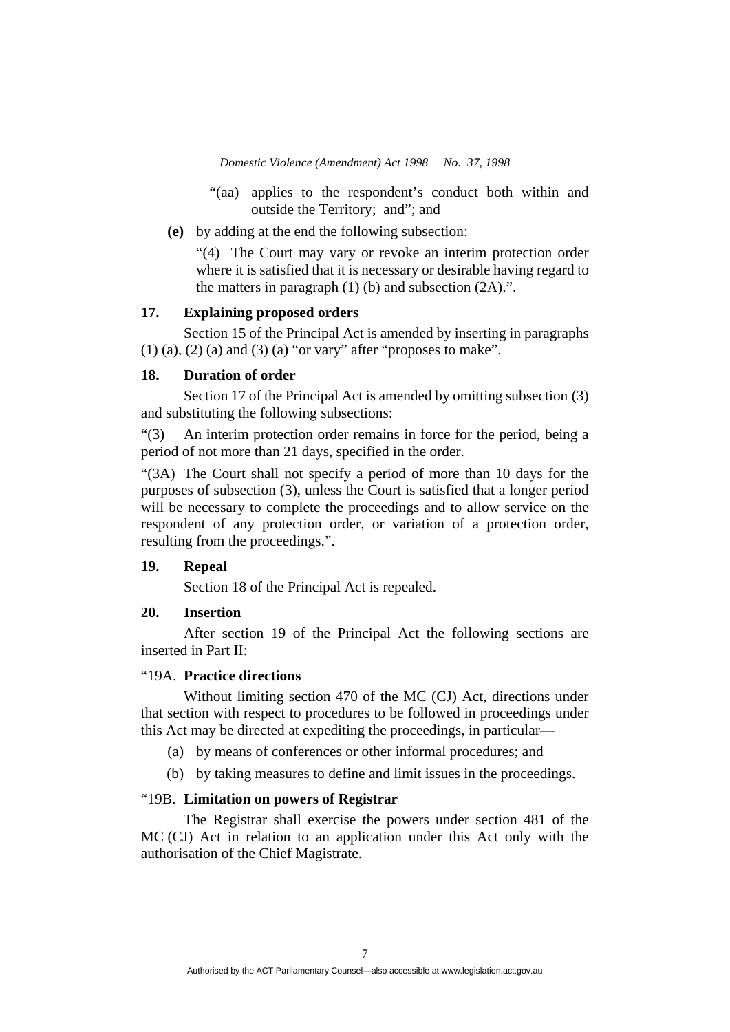- "(aa) applies to the respondent's conduct both within and outside the Territory; and"; and
- **(e)** by adding at the end the following subsection:

"(4) The Court may vary or revoke an interim protection order where it is satisfied that it is necessary or desirable having regard to the matters in paragraph  $(1)$  (b) and subsection  $(2A)$ .".

#### **17. Explaining proposed orders**

Section 15 of the Principal Act is amended by inserting in paragraphs  $(1)$  (a),  $(2)$  (a) and  $(3)$  (a) "or vary" after "proposes to make".

#### **18. Duration of order**

Section 17 of the Principal Act is amended by omitting subsection (3) and substituting the following subsections:

"(3) An interim protection order remains in force for the period, being a period of not more than 21 days, specified in the order.

"(3A) The Court shall not specify a period of more than 10 days for the purposes of subsection (3), unless the Court is satisfied that a longer period will be necessary to complete the proceedings and to allow service on the respondent of any protection order, or variation of a protection order, resulting from the proceedings.".

#### **19. Repeal**

Section 18 of the Principal Act is repealed.

## **20. Insertion**

After section 19 of the Principal Act the following sections are inserted in Part II:

#### "19A. **Practice directions**

 Without limiting section 470 of the MC (CJ) Act, directions under that section with respect to procedures to be followed in proceedings under this Act may be directed at expediting the proceedings, in particular—

(a) by means of conferences or other informal procedures; and

(b) by taking measures to define and limit issues in the proceedings.

#### "19B. **Limitation on powers of Registrar**

 The Registrar shall exercise the powers under section 481 of the MC (CJ) Act in relation to an application under this Act only with the authorisation of the Chief Magistrate.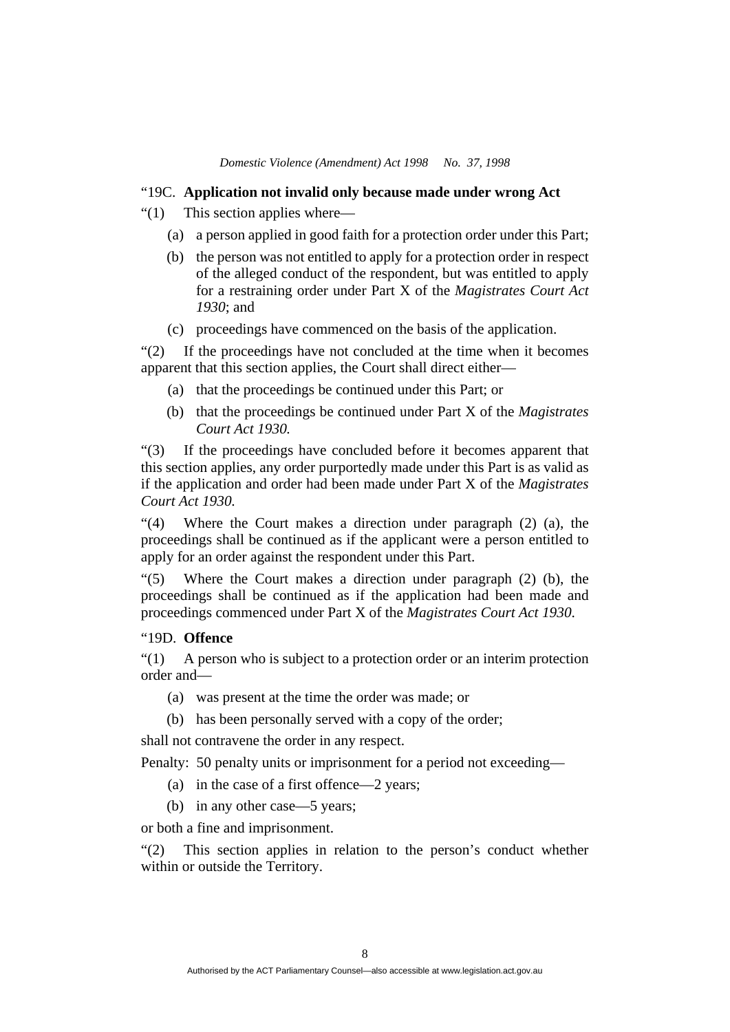## "19C. **Application not invalid only because made under wrong Act**

- "(1) This section applies where—
	- (a) a person applied in good faith for a protection order under this Part;
	- (b) the person was not entitled to apply for a protection order in respect of the alleged conduct of the respondent, but was entitled to apply for a restraining order under Part X of the *Magistrates Court Act 1930*; and
	- (c) proceedings have commenced on the basis of the application.

"(2) If the proceedings have not concluded at the time when it becomes apparent that this section applies, the Court shall direct either—

- (a) that the proceedings be continued under this Part; or
- (b) that the proceedings be continued under Part X of the *Magistrates Court Act 1930.*

"(3) If the proceedings have concluded before it becomes apparent that this section applies, any order purportedly made under this Part is as valid as if the application and order had been made under Part X of the *Magistrates Court Act 1930.*

"(4) Where the Court makes a direction under paragraph (2) (a), the proceedings shall be continued as if the applicant were a person entitled to apply for an order against the respondent under this Part.

"(5) Where the Court makes a direction under paragraph (2) (b), the proceedings shall be continued as if the application had been made and proceedings commenced under Part X of the *Magistrates Court Act 1930*.

#### "19D. **Offence**

"(1) A person who is subject to a protection order or an interim protection order and—

- (a) was present at the time the order was made; or
- (b) has been personally served with a copy of the order;

shall not contravene the order in any respect.

Penalty: 50 penalty units or imprisonment for a period not exceeding—

- (a) in the case of a first offence—2 years;
- (b) in any other case—5 years;

or both a fine and imprisonment.

"(2) This section applies in relation to the person's conduct whether within or outside the Territory.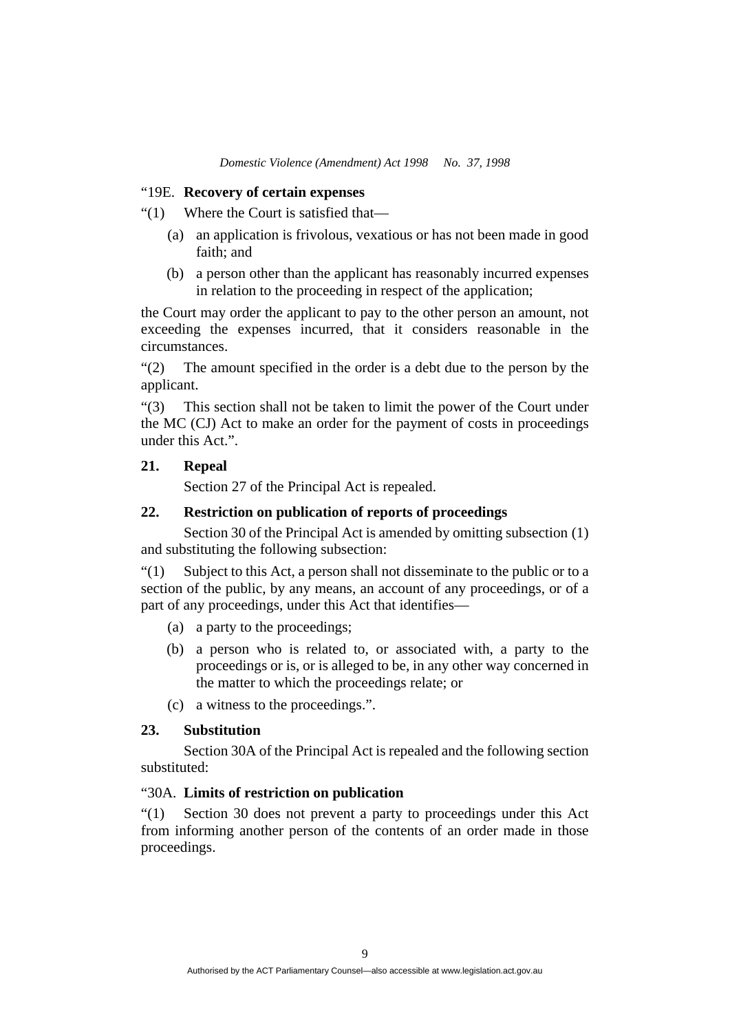## "19E. **Recovery of certain expenses**

"(1) Where the Court is satisfied that—

- (a) an application is frivolous, vexatious or has not been made in good  $f$ aith: and
- (b) a person other than the applicant has reasonably incurred expenses in relation to the proceeding in respect of the application;

the Court may order the applicant to pay to the other person an amount, not exceeding the expenses incurred, that it considers reasonable in the circumstances.

"(2) The amount specified in the order is a debt due to the person by the applicant.

"(3) This section shall not be taken to limit the power of the Court under the MC (CJ) Act to make an order for the payment of costs in proceedings under this Act.".

## **21. Repeal**

Section 27 of the Principal Act is repealed.

## **22. Restriction on publication of reports of proceedings**

Section 30 of the Principal Act is amended by omitting subsection (1) and substituting the following subsection:

"(1) Subject to this Act, a person shall not disseminate to the public or to a section of the public, by any means, an account of any proceedings, or of a part of any proceedings, under this Act that identifies—

- (a) a party to the proceedings;
- (b) a person who is related to, or associated with, a party to the proceedings or is, or is alleged to be, in any other way concerned in the matter to which the proceedings relate; or
- (c) a witness to the proceedings.".

## **23. Substitution**

Section 30A of the Principal Act is repealed and the following section substituted:

#### "30A. **Limits of restriction on publication**

"(1) Section 30 does not prevent a party to proceedings under this Act from informing another person of the contents of an order made in those proceedings.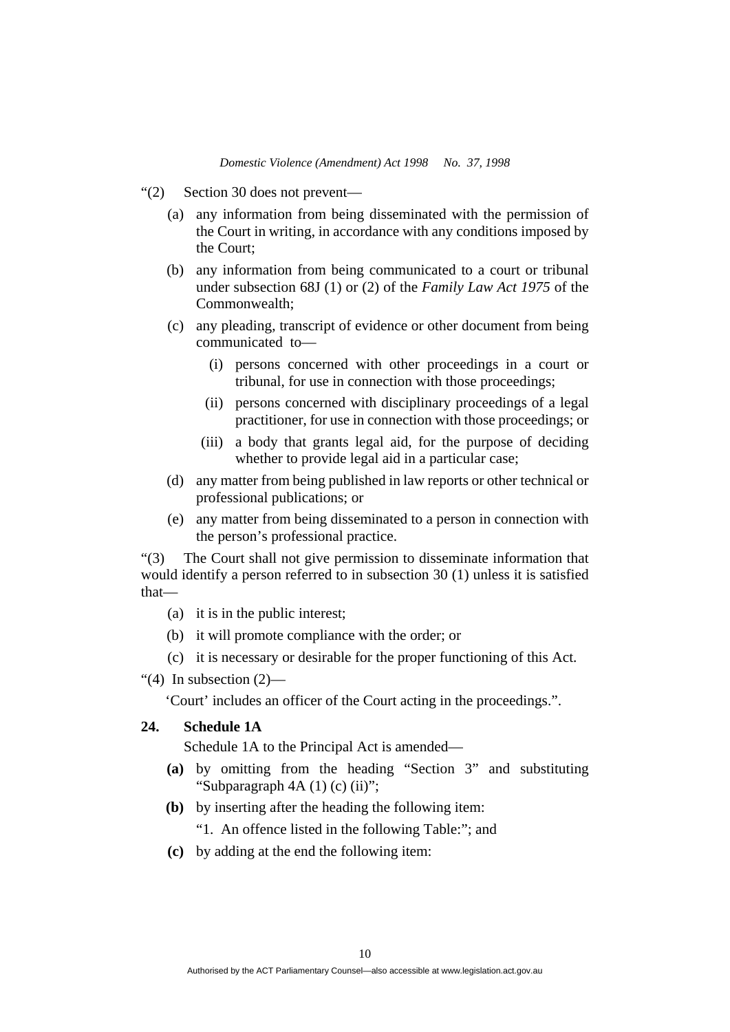- "(2) Section 30 does not prevent—
	- (a) any information from being disseminated with the permission of the Court in writing, in accordance with any conditions imposed by the Court;
	- (b) any information from being communicated to a court or tribunal under subsection 68J (1) or (2) of the *Family Law Act 1975* of the Commonwealth;
	- (c) any pleading, transcript of evidence or other document from being communicated to—
		- (i) persons concerned with other proceedings in a court or tribunal, for use in connection with those proceedings;
		- (ii) persons concerned with disciplinary proceedings of a legal practitioner, for use in connection with those proceedings; or
		- (iii) a body that grants legal aid, for the purpose of deciding whether to provide legal aid in a particular case;
	- (d) any matter from being published in law reports or other technical or professional publications; or
	- (e) any matter from being disseminated to a person in connection with the person's professional practice.

"(3) The Court shall not give permission to disseminate information that would identify a person referred to in subsection 30 (1) unless it is satisfied that—

- (a) it is in the public interest;
- (b) it will promote compliance with the order; or
- (c) it is necessary or desirable for the proper functioning of this Act.

"(4) In subsection  $(2)$ —

'Court' includes an officer of the Court acting in the proceedings.".

## **24. Schedule 1A**

Schedule 1A to the Principal Act is amended—

- **(a)** by omitting from the heading "Section 3" and substituting "Subparagraph  $4A(1)(c)(ii)$ ";
- **(b)** by inserting after the heading the following item:

"1. An offence listed in the following Table:"; and

**(c)** by adding at the end the following item: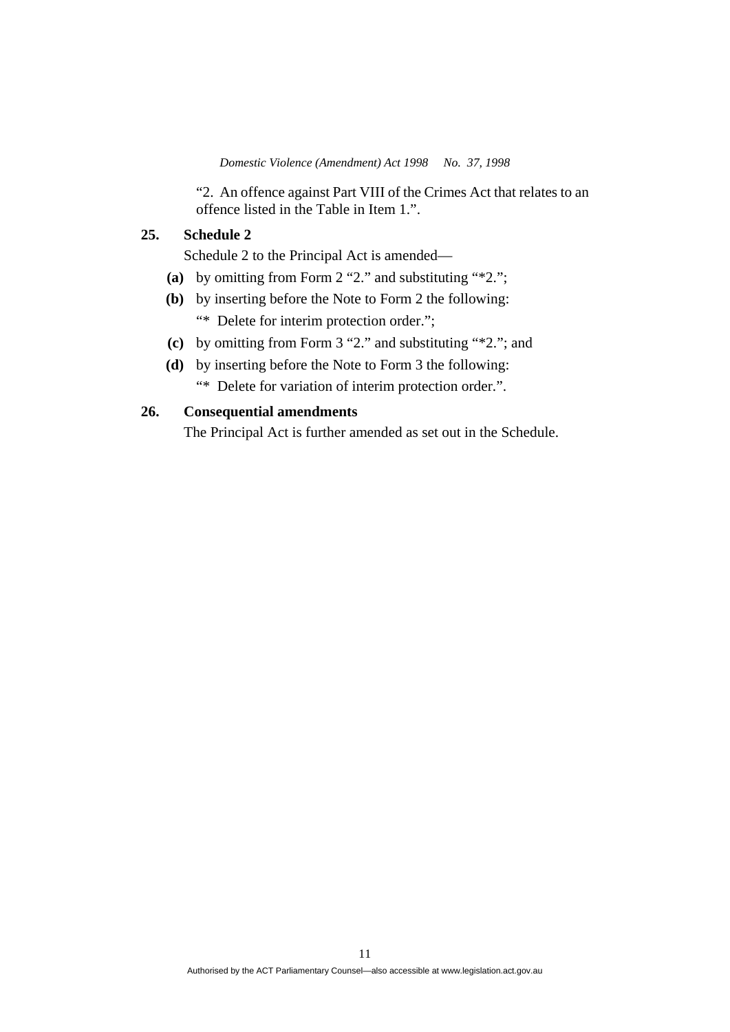"2. An offence against Part VIII of the Crimes Act that relates to an offence listed in the Table in Item 1.".

## **25. Schedule 2**

Schedule 2 to the Principal Act is amended—

- **(a)** by omitting from Form 2 "2." and substituting "\*2.";
- **(b)** by inserting before the Note to Form 2 the following: "\* Delete for interim protection order.";
- **(c)** by omitting from Form 3 "2." and substituting "\*2."; and
- **(d)** by inserting before the Note to Form 3 the following: "\* Delete for variation of interim protection order.".

## **26. Consequential amendments**

The Principal Act is further amended as set out in the Schedule.